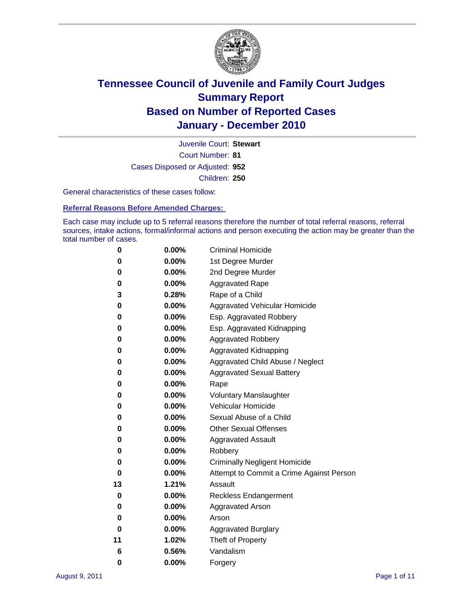

Court Number: **81** Juvenile Court: **Stewart** Cases Disposed or Adjusted: **952** Children: **250**

General characteristics of these cases follow:

**Referral Reasons Before Amended Charges:** 

Each case may include up to 5 referral reasons therefore the number of total referral reasons, referral sources, intake actions, formal/informal actions and person executing the action may be greater than the total number of cases.

| 0  | 0.00%    | <b>Criminal Homicide</b>                 |
|----|----------|------------------------------------------|
| 0  | 0.00%    | 1st Degree Murder                        |
| 0  | 0.00%    | 2nd Degree Murder                        |
| 0  | 0.00%    | <b>Aggravated Rape</b>                   |
| 3  | 0.28%    | Rape of a Child                          |
| 0  | 0.00%    | Aggravated Vehicular Homicide            |
| 0  | 0.00%    | Esp. Aggravated Robbery                  |
| 0  | 0.00%    | Esp. Aggravated Kidnapping               |
| 0  | 0.00%    | <b>Aggravated Robbery</b>                |
| 0  | 0.00%    | Aggravated Kidnapping                    |
| 0  | 0.00%    | Aggravated Child Abuse / Neglect         |
| 0  | 0.00%    | <b>Aggravated Sexual Battery</b>         |
| 0  | 0.00%    | Rape                                     |
| 0  | 0.00%    | <b>Voluntary Manslaughter</b>            |
| 0  | 0.00%    | Vehicular Homicide                       |
| 0  | 0.00%    | Sexual Abuse of a Child                  |
| 0  | 0.00%    | <b>Other Sexual Offenses</b>             |
| 0  | 0.00%    | <b>Aggravated Assault</b>                |
| 0  | $0.00\%$ | Robbery                                  |
| 0  | 0.00%    | <b>Criminally Negligent Homicide</b>     |
| 0  | 0.00%    | Attempt to Commit a Crime Against Person |
| 13 | 1.21%    | Assault                                  |
| 0  | 0.00%    | <b>Reckless Endangerment</b>             |
| 0  | 0.00%    | <b>Aggravated Arson</b>                  |
| 0  | 0.00%    | Arson                                    |
| 0  | 0.00%    | <b>Aggravated Burglary</b>               |
| 11 | 1.02%    | Theft of Property                        |
| 6  | 0.56%    | Vandalism                                |
| 0  | 0.00%    | Forgery                                  |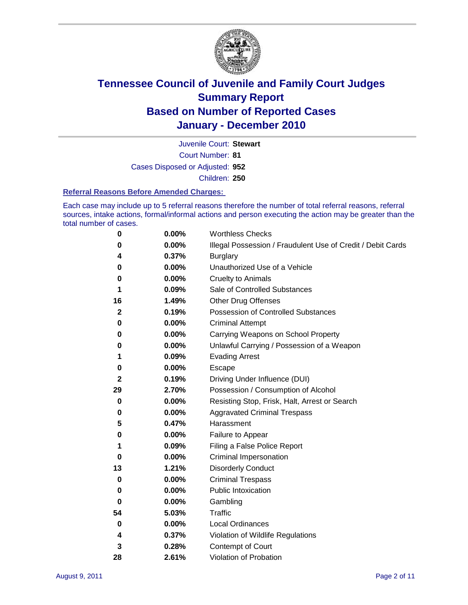

Court Number: **81** Juvenile Court: **Stewart**

Cases Disposed or Adjusted: **952**

Children: **250**

#### **Referral Reasons Before Amended Charges:**

Each case may include up to 5 referral reasons therefore the number of total referral reasons, referral sources, intake actions, formal/informal actions and person executing the action may be greater than the total number of cases.

| 0  | 0.00% | <b>Worthless Checks</b>                                     |
|----|-------|-------------------------------------------------------------|
| 0  | 0.00% | Illegal Possession / Fraudulent Use of Credit / Debit Cards |
| 4  | 0.37% | <b>Burglary</b>                                             |
| 0  | 0.00% | Unauthorized Use of a Vehicle                               |
| 0  | 0.00% | <b>Cruelty to Animals</b>                                   |
| 1  | 0.09% | Sale of Controlled Substances                               |
| 16 | 1.49% | <b>Other Drug Offenses</b>                                  |
| 2  | 0.19% | Possession of Controlled Substances                         |
| 0  | 0.00% | <b>Criminal Attempt</b>                                     |
| 0  | 0.00% | Carrying Weapons on School Property                         |
| 0  | 0.00% | Unlawful Carrying / Possession of a Weapon                  |
| 1  | 0.09% | <b>Evading Arrest</b>                                       |
| 0  | 0.00% | Escape                                                      |
| 2  | 0.19% | Driving Under Influence (DUI)                               |
| 29 | 2.70% | Possession / Consumption of Alcohol                         |
| 0  | 0.00% | Resisting Stop, Frisk, Halt, Arrest or Search               |
| 0  | 0.00% | <b>Aggravated Criminal Trespass</b>                         |
| 5  | 0.47% | Harassment                                                  |
| 0  | 0.00% | Failure to Appear                                           |
| 1  | 0.09% | Filing a False Police Report                                |
| 0  | 0.00% | Criminal Impersonation                                      |
| 13 | 1.21% | <b>Disorderly Conduct</b>                                   |
| 0  | 0.00% | <b>Criminal Trespass</b>                                    |
| 0  | 0.00% | <b>Public Intoxication</b>                                  |
| 0  | 0.00% | Gambling                                                    |
| 54 | 5.03% | <b>Traffic</b>                                              |
| 0  | 0.00% | <b>Local Ordinances</b>                                     |
| 4  | 0.37% | Violation of Wildlife Regulations                           |
| 3  | 0.28% | Contempt of Court                                           |
| 28 | 2.61% | Violation of Probation                                      |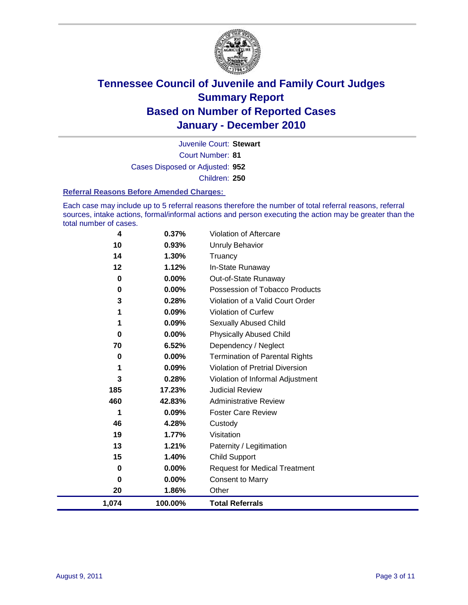

Court Number: **81** Juvenile Court: **Stewart** Cases Disposed or Adjusted: **952** Children: **250**

#### **Referral Reasons Before Amended Charges:**

Each case may include up to 5 referral reasons therefore the number of total referral reasons, referral sources, intake actions, formal/informal actions and person executing the action may be greater than the total number of cases.

| 1,074       | 100.00% | <b>Total Referrals</b>                 |
|-------------|---------|----------------------------------------|
| 20          | 1.86%   | Other                                  |
| $\bf{0}$    | 0.00%   | <b>Consent to Marry</b>                |
| 0           | 0.00%   | <b>Request for Medical Treatment</b>   |
| 15          | 1.40%   | <b>Child Support</b>                   |
| 13          | 1.21%   | Paternity / Legitimation               |
| 19          | 1.77%   | Visitation                             |
| 46          | 4.28%   | Custody                                |
| 1           | 0.09%   | <b>Foster Care Review</b>              |
| 460         | 42.83%  | <b>Administrative Review</b>           |
| 185         | 17.23%  | <b>Judicial Review</b>                 |
| 3           | 0.28%   | Violation of Informal Adjustment       |
| 1           | 0.09%   | <b>Violation of Pretrial Diversion</b> |
| 0           | 0.00%   | Termination of Parental Rights         |
| 70          | 6.52%   | Dependency / Neglect                   |
| $\bf{0}$    | 0.00%   | <b>Physically Abused Child</b>         |
|             | 0.09%   | <b>Sexually Abused Child</b>           |
|             | 0.09%   | Violation of Curfew                    |
| 3           | 0.28%   | Violation of a Valid Court Order       |
| $\mathbf 0$ | 0.00%   | Possession of Tobacco Products         |
| $\mathbf 0$ | 0.00%   | Out-of-State Runaway                   |
| 12          | 1.12%   | In-State Runaway                       |
| 14          | 1.30%   | <b>Unruly Behavior</b><br>Truancy      |
| 10          | 0.93%   |                                        |
| 4           | 0.37%   | <b>Violation of Aftercare</b>          |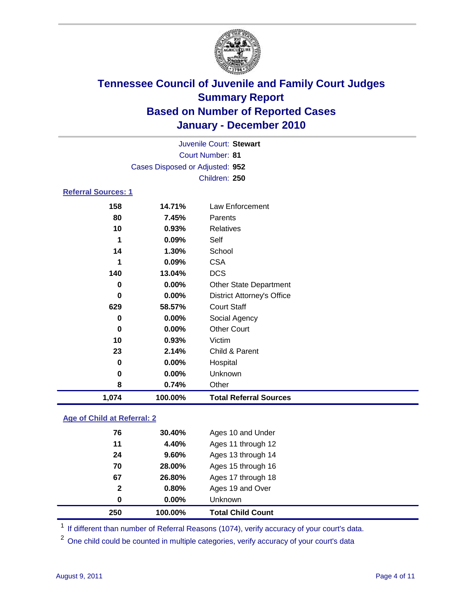

|                            | Juvenile Court: Stewart         |                                   |  |  |
|----------------------------|---------------------------------|-----------------------------------|--|--|
| <b>Court Number: 81</b>    |                                 |                                   |  |  |
|                            | Cases Disposed or Adjusted: 952 |                                   |  |  |
|                            |                                 | Children: 250                     |  |  |
| <b>Referral Sources: 1</b> |                                 |                                   |  |  |
| 158                        | 14.71%                          | Law Enforcement                   |  |  |
| 80                         | 7.45%                           | Parents                           |  |  |
| 10                         | 0.93%                           | <b>Relatives</b>                  |  |  |
| 1                          | 0.09%                           | Self                              |  |  |
| 14                         | 1.30%                           | School                            |  |  |
| 1                          | 0.09%                           | <b>CSA</b>                        |  |  |
| 140                        | 13.04%                          | <b>DCS</b>                        |  |  |
| 0                          | 0.00%                           | Other State Department            |  |  |
| 0                          | 0.00%                           | <b>District Attorney's Office</b> |  |  |
| 629                        | 58.57%                          | <b>Court Staff</b>                |  |  |
| 0                          | 0.00%                           | Social Agency                     |  |  |
| 0                          | 0.00%                           | <b>Other Court</b>                |  |  |
| 10                         | 0.93%                           | Victim                            |  |  |
| 23                         | 2.14%                           | Child & Parent                    |  |  |
| 0                          | 0.00%                           | Hospital                          |  |  |
| 0                          | 0.00%                           | Unknown                           |  |  |
| 8                          | 0.74%                           | Other                             |  |  |
| 1,074                      | 100.00%                         | <b>Total Referral Sources</b>     |  |  |

### **Age of Child at Referral: 2**

| 250 | 100.00%               | <b>Total Child Count</b> |
|-----|-----------------------|--------------------------|
|     | 0.00%<br>0            | <b>Unknown</b>           |
|     | 0.80%<br>$\mathbf{2}$ | Ages 19 and Over         |
| 67  | 26.80%                | Ages 17 through 18       |
| 70  | 28.00%                | Ages 15 through 16       |
| 24  | 9.60%                 | Ages 13 through 14       |
| 11  | 4.40%                 | Ages 11 through 12       |
| 76  | 30.40%                | Ages 10 and Under        |
|     |                       |                          |

<sup>1</sup> If different than number of Referral Reasons (1074), verify accuracy of your court's data.

<sup>2</sup> One child could be counted in multiple categories, verify accuracy of your court's data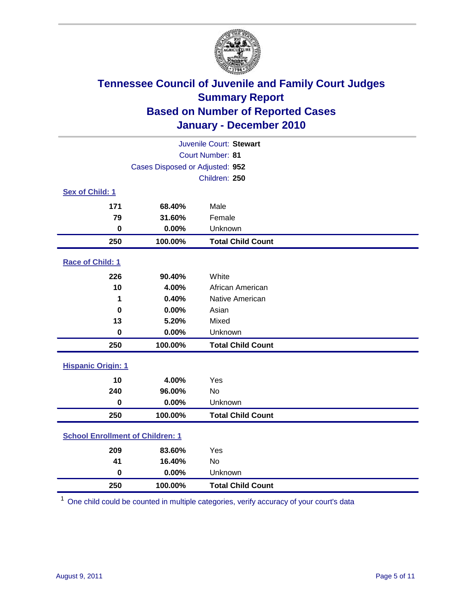

| Juvenile Court: Stewart                 |                                 |                          |  |
|-----------------------------------------|---------------------------------|--------------------------|--|
| Court Number: 81                        |                                 |                          |  |
|                                         | Cases Disposed or Adjusted: 952 |                          |  |
|                                         |                                 | Children: 250            |  |
| Sex of Child: 1                         |                                 |                          |  |
| 171                                     | 68.40%                          | Male                     |  |
| 79                                      | 31.60%                          | Female                   |  |
| $\mathbf 0$                             | 0.00%                           | Unknown                  |  |
| 250                                     | 100.00%                         | <b>Total Child Count</b> |  |
| Race of Child: 1                        |                                 |                          |  |
| 226                                     | 90.40%                          | White                    |  |
| 10                                      | 4.00%                           | African American         |  |
| 1                                       | 0.40%                           | Native American          |  |
| $\mathbf 0$                             | 0.00%                           | Asian                    |  |
| 13                                      | 5.20%                           | Mixed                    |  |
| $\pmb{0}$                               | 0.00%                           | Unknown                  |  |
| 250                                     | 100.00%                         | <b>Total Child Count</b> |  |
| <b>Hispanic Origin: 1</b>               |                                 |                          |  |
| 10                                      | 4.00%                           | Yes                      |  |
| 240                                     | 96.00%                          | <b>No</b>                |  |
| $\mathbf 0$                             | 0.00%                           | Unknown                  |  |
| 250                                     | 100.00%                         | <b>Total Child Count</b> |  |
| <b>School Enrollment of Children: 1</b> |                                 |                          |  |
| 209                                     | 83.60%                          | Yes                      |  |
| 41                                      | 16.40%                          | No                       |  |
| $\mathbf 0$                             | 0.00%                           | Unknown                  |  |
| 250                                     | 100.00%                         | <b>Total Child Count</b> |  |

One child could be counted in multiple categories, verify accuracy of your court's data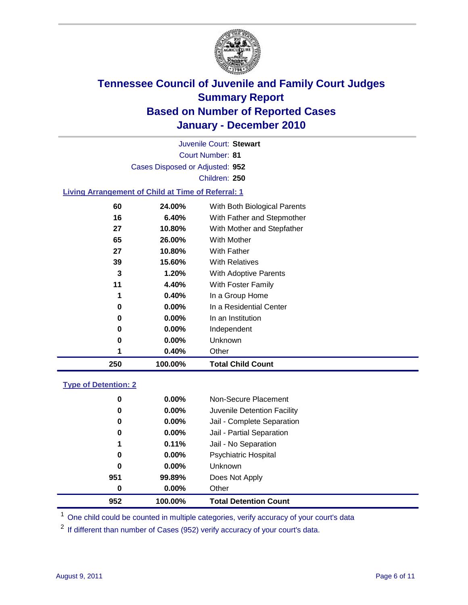

Court Number: **81** Juvenile Court: **Stewart** Cases Disposed or Adjusted: **952** Children: **250**

#### **Living Arrangement of Child at Time of Referral: 1**

| 250 | 100.00%  | <b>Total Child Count</b>     |
|-----|----------|------------------------------|
| 1   | 0.40%    | Other                        |
| 0   | $0.00\%$ | Unknown                      |
| 0   | $0.00\%$ | Independent                  |
| 0   | 0.00%    | In an Institution            |
| 0   | $0.00\%$ | In a Residential Center      |
| 1   | 0.40%    | In a Group Home              |
| 11  | 4.40%    | With Foster Family           |
| 3   | 1.20%    | With Adoptive Parents        |
| 39  | 15.60%   | <b>With Relatives</b>        |
| 27  | 10.80%   | <b>With Father</b>           |
| 65  | 26.00%   | With Mother                  |
| 27  | 10.80%   | With Mother and Stepfather   |
| 16  | 6.40%    | With Father and Stepmother   |
| 60  | 24.00%   | With Both Biological Parents |
|     |          |                              |

#### **Type of Detention: 2**

| 952 | 100.00%  | <b>Total Detention Count</b> |
|-----|----------|------------------------------|
| 0   | $0.00\%$ | Other                        |
| 951 | 99.89%   | Does Not Apply               |
| 0   | $0.00\%$ | <b>Unknown</b>               |
| 0   | 0.00%    | <b>Psychiatric Hospital</b>  |
| 1   | 0.11%    | Jail - No Separation         |
| 0   | $0.00\%$ | Jail - Partial Separation    |
| 0   | $0.00\%$ | Jail - Complete Separation   |
| 0   | 0.00%    | Juvenile Detention Facility  |
| 0   | $0.00\%$ | Non-Secure Placement         |
|     |          |                              |

<sup>1</sup> One child could be counted in multiple categories, verify accuracy of your court's data

<sup>2</sup> If different than number of Cases (952) verify accuracy of your court's data.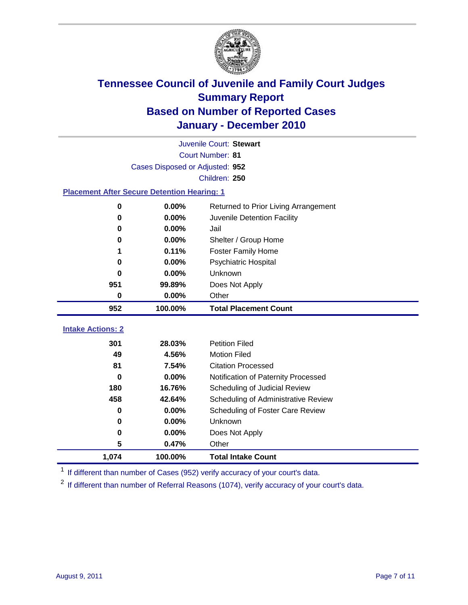

|                                                    | Juvenile Court: Stewart         |                                      |  |  |  |
|----------------------------------------------------|---------------------------------|--------------------------------------|--|--|--|
|                                                    | Court Number: 81                |                                      |  |  |  |
|                                                    | Cases Disposed or Adjusted: 952 |                                      |  |  |  |
|                                                    |                                 | Children: 250                        |  |  |  |
| <b>Placement After Secure Detention Hearing: 1</b> |                                 |                                      |  |  |  |
| 0                                                  | 0.00%                           | Returned to Prior Living Arrangement |  |  |  |
| $\bf{0}$                                           | 0.00%                           | Juvenile Detention Facility          |  |  |  |
| $\bf{0}$                                           | 0.00%                           | Jail                                 |  |  |  |
| $\bf{0}$                                           | 0.00%                           | Shelter / Group Home                 |  |  |  |
| 1                                                  | 0.11%                           | <b>Foster Family Home</b>            |  |  |  |
| $\bf{0}$                                           | 0.00%                           | Psychiatric Hospital                 |  |  |  |
| 0                                                  | 0.00%                           | Unknown                              |  |  |  |
| 951                                                | 99.89%                          | Does Not Apply                       |  |  |  |
| 0                                                  | 0.00%                           | Other                                |  |  |  |
| 952                                                | 100.00%                         | <b>Total Placement Count</b>         |  |  |  |
|                                                    |                                 |                                      |  |  |  |
| <b>Intake Actions: 2</b>                           |                                 |                                      |  |  |  |
| 301                                                | 28.03%                          | <b>Petition Filed</b>                |  |  |  |
| 49                                                 | 4.56%                           | <b>Motion Filed</b>                  |  |  |  |
| 81                                                 | 7.54%                           | <b>Citation Processed</b>            |  |  |  |
| 0                                                  | 0.00%                           | Notification of Paternity Processed  |  |  |  |
| 180                                                | 16.76%                          | Scheduling of Judicial Review        |  |  |  |
| 458                                                | 42.64%                          | Scheduling of Administrative Review  |  |  |  |
| 0                                                  | 0.00%                           | Scheduling of Foster Care Review     |  |  |  |
| $\bf{0}$                                           | 0.00%                           | Unknown                              |  |  |  |
| $\bf{0}$                                           | 0.00%                           | Does Not Apply                       |  |  |  |
| 5                                                  | 0.47%                           | Other                                |  |  |  |
| 1,074                                              | 100.00%                         | <b>Total Intake Count</b>            |  |  |  |

<sup>1</sup> If different than number of Cases (952) verify accuracy of your court's data.

<sup>2</sup> If different than number of Referral Reasons (1074), verify accuracy of your court's data.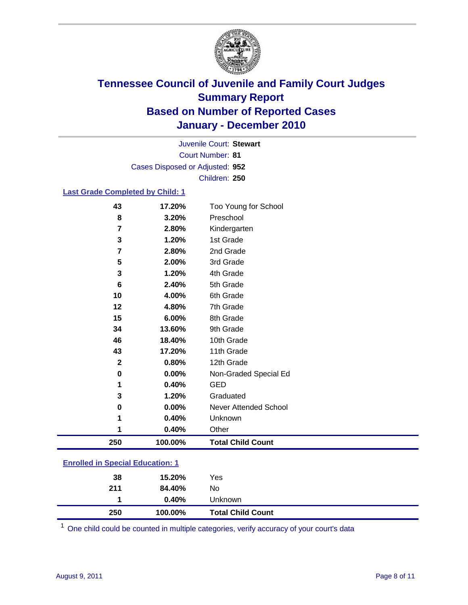

Court Number: **81** Juvenile Court: **Stewart** Cases Disposed or Adjusted: **952** Children: **250**

#### **Last Grade Completed by Child: 1**

| 43                                      | 17.20%  | Too Young for School         |
|-----------------------------------------|---------|------------------------------|
| 8                                       | 3.20%   | Preschool                    |
| 7                                       | 2.80%   | Kindergarten                 |
| 3                                       | 1.20%   | 1st Grade                    |
| 7                                       | 2.80%   | 2nd Grade                    |
| 5                                       | 2.00%   | 3rd Grade                    |
| 3                                       | 1.20%   | 4th Grade                    |
| 6                                       | 2.40%   | 5th Grade                    |
| 10                                      | 4.00%   | 6th Grade                    |
| 12                                      | 4.80%   | 7th Grade                    |
| 15                                      | 6.00%   | 8th Grade                    |
| 34                                      | 13.60%  | 9th Grade                    |
| 46                                      | 18.40%  | 10th Grade                   |
| 43                                      | 17.20%  | 11th Grade                   |
| $\mathbf{2}$                            | 0.80%   | 12th Grade                   |
| $\bf{0}$                                | 0.00%   | Non-Graded Special Ed        |
| 1                                       | 0.40%   | <b>GED</b>                   |
| 3                                       | 1.20%   | Graduated                    |
| $\bf{0}$                                | 0.00%   | <b>Never Attended School</b> |
| 1                                       | 0.40%   | Unknown                      |
| 1                                       | 0.40%   | Other                        |
| 250                                     | 100.00% | <b>Total Child Count</b>     |
| <b>Enrolled in Special Education: 1</b> |         |                              |

| 0.40%  | Unknown |                                     |
|--------|---------|-------------------------------------|
| 84.40% | No      |                                     |
| 15.20% | Yes     |                                     |
|        |         | <b>Total Child Count</b><br>100.00% |

One child could be counted in multiple categories, verify accuracy of your court's data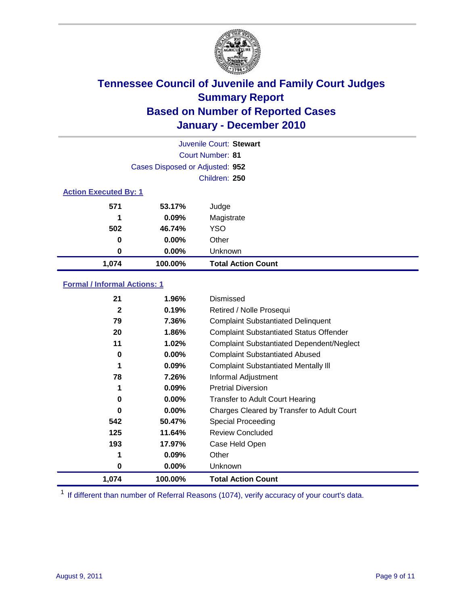

|                              |                                 | Juvenile Court: Stewart   |
|------------------------------|---------------------------------|---------------------------|
|                              |                                 | Court Number: 81          |
|                              | Cases Disposed or Adjusted: 952 |                           |
|                              |                                 | Children: 250             |
| <b>Action Executed By: 1</b> |                                 |                           |
| 571                          | 53.17%                          | Judge                     |
| 1                            | 0.09%                           | Magistrate                |
| 502                          | 46.74%                          | <b>YSO</b>                |
| 0                            | 0.00%                           | Other                     |
| 0                            | 0.00%                           | Unknown                   |
| 1,074                        | 100.00%                         | <b>Total Action Count</b> |

### **Formal / Informal Actions: 1**

| 21           | 1.96%    | Dismissed                                        |
|--------------|----------|--------------------------------------------------|
| $\mathbf{2}$ | 0.19%    | Retired / Nolle Prosequi                         |
| 79           | 7.36%    | <b>Complaint Substantiated Delinquent</b>        |
| 20           | 1.86%    | <b>Complaint Substantiated Status Offender</b>   |
| 11           | 1.02%    | <b>Complaint Substantiated Dependent/Neglect</b> |
| 0            | $0.00\%$ | <b>Complaint Substantiated Abused</b>            |
| 1            | $0.09\%$ | <b>Complaint Substantiated Mentally III</b>      |
| 78           | 7.26%    | Informal Adjustment                              |
| 1            | $0.09\%$ | <b>Pretrial Diversion</b>                        |
| 0            | $0.00\%$ | <b>Transfer to Adult Court Hearing</b>           |
| 0            | $0.00\%$ | Charges Cleared by Transfer to Adult Court       |
| 542          | 50.47%   | Special Proceeding                               |
| 125          | 11.64%   | <b>Review Concluded</b>                          |
| 193          | 17.97%   | Case Held Open                                   |
| 1            | $0.09\%$ | Other                                            |
| 0            | $0.00\%$ | Unknown                                          |
| 1,074        | 100.00%  | Total Action Count                               |

<sup>1</sup> If different than number of Referral Reasons (1074), verify accuracy of your court's data.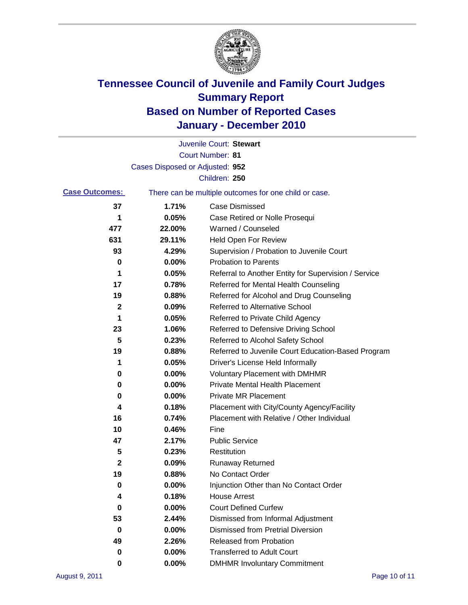

|                       |                                 | Juvenile Court: Stewart                               |
|-----------------------|---------------------------------|-------------------------------------------------------|
|                       |                                 | <b>Court Number: 81</b>                               |
|                       | Cases Disposed or Adjusted: 952 |                                                       |
|                       |                                 | Children: 250                                         |
| <b>Case Outcomes:</b> |                                 | There can be multiple outcomes for one child or case. |
| 37                    | 1.71%                           | <b>Case Dismissed</b>                                 |
| 1                     | 0.05%                           | Case Retired or Nolle Prosequi                        |
| 477                   | 22.00%                          | Warned / Counseled                                    |
| 631                   | 29.11%                          | Held Open For Review                                  |
| 93                    | 4.29%                           | Supervision / Probation to Juvenile Court             |
| 0                     | 0.00%                           | <b>Probation to Parents</b>                           |
| 1                     | 0.05%                           | Referral to Another Entity for Supervision / Service  |
| 17                    | 0.78%                           | Referred for Mental Health Counseling                 |
| 19                    | 0.88%                           | Referred for Alcohol and Drug Counseling              |
| 2                     | 0.09%                           | <b>Referred to Alternative School</b>                 |
| 1                     | 0.05%                           | Referred to Private Child Agency                      |
| 23                    | 1.06%                           | Referred to Defensive Driving School                  |
| 5                     | 0.23%                           | Referred to Alcohol Safety School                     |
| 19                    | 0.88%                           | Referred to Juvenile Court Education-Based Program    |
| 1                     | 0.05%                           | Driver's License Held Informally                      |
| 0                     | 0.00%                           | <b>Voluntary Placement with DMHMR</b>                 |
| 0                     | 0.00%                           | <b>Private Mental Health Placement</b>                |
| 0                     | 0.00%                           | <b>Private MR Placement</b>                           |
| 4                     | 0.18%                           | Placement with City/County Agency/Facility            |
| 16                    | 0.74%                           | Placement with Relative / Other Individual            |
| 10                    | 0.46%                           | Fine                                                  |
| 47                    | 2.17%                           | <b>Public Service</b>                                 |
| 5                     | 0.23%                           | Restitution                                           |
| 2                     | 0.09%                           | <b>Runaway Returned</b>                               |
| 19                    | 0.88%                           | No Contact Order                                      |
| 0                     | 0.00%                           | Injunction Other than No Contact Order                |
| 4                     | 0.18%                           | <b>House Arrest</b>                                   |
| 0                     | $0.00\%$                        | <b>Court Defined Curfew</b>                           |
| 53                    | 2.44%                           | Dismissed from Informal Adjustment                    |
| 0                     | $0.00\%$                        | <b>Dismissed from Pretrial Diversion</b>              |
| 49                    | 2.26%                           | Released from Probation                               |
| 0                     | $0.00\%$                        | <b>Transferred to Adult Court</b>                     |
| 0                     | 0.00%                           | <b>DMHMR Involuntary Commitment</b>                   |